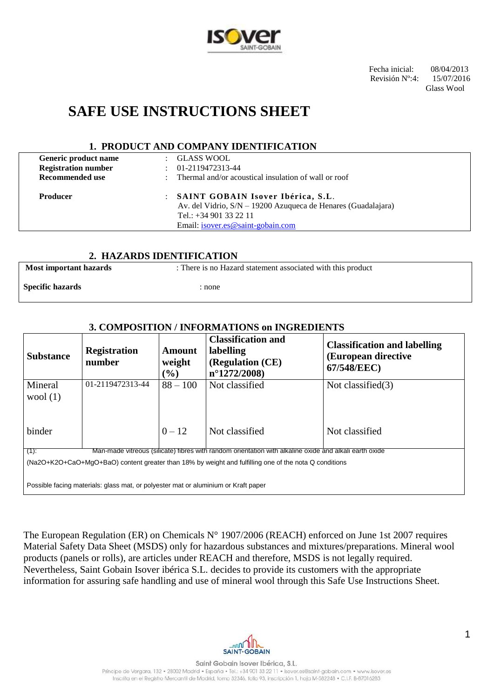

 Fecha inicial: 08/04/2013 Revisión Nº:4: 15/07/2016

Glass Wool

# **SAFE USE INSTRUCTIONS SHEET**

### **1. PRODUCT AND COMPANY IDENTIFICATION**

| Generic product name<br><b>Registration number</b><br><b>Recommended use</b> | GLASS WOOL<br>$\mathbb{R}^{\mathbb{Z}}$<br>01-2119472313-44<br>$\mathbb{R}^{\mathbb{Z}}$<br>Thermal and/or acoustical insulation of wall or roof<br>$\bullet$     |  |
|------------------------------------------------------------------------------|-------------------------------------------------------------------------------------------------------------------------------------------------------------------|--|
| <b>Producer</b>                                                              | : SAINT GOBAIN Isover Ibérica, S.L.<br>Av. del Vidrio, S/N – 19200 Azuqueca de Henares (Guadalajara)<br>Tel.: $+34901332211$<br>Email: isover.es@saint-gobain.com |  |
|                                                                              |                                                                                                                                                                   |  |

### **2. HAZARDS IDENTIFICATION**

**Most important hazards** : There is no Hazard statement associated with this product

**Specific hazards** : none

### **3. COMPOSITION / INFORMATIONS on INGREDIENTS**

| <b>Substance</b>      | <b>Registration</b><br>number                                                      | Amount<br>weight<br>$($ %) | <b>Classification and</b><br>labelling<br>(Regulation (CE)<br>$n^{\circ}1272/2008$                     | <b>Classification and labelling</b><br>(European directive<br>67/548/EEC) |
|-----------------------|------------------------------------------------------------------------------------|----------------------------|--------------------------------------------------------------------------------------------------------|---------------------------------------------------------------------------|
| Mineral<br>wool $(1)$ | 01-2119472313-44                                                                   | $88 - 100$                 | Not classified                                                                                         | Not classified $(3)$                                                      |
| binder                |                                                                                    | $0 - 12$                   | Not classified                                                                                         | Not classified                                                            |
| $(1)$ :               |                                                                                    |                            | Man-made vitreous (silicate) fibres with random orientation with alkaline oxide and alkali earth oxide |                                                                           |
|                       | Possible facing materials: glass mat, or polyester mat or aluminium or Kraft paper |                            | (Na2O+K2O+CaO+MgO+BaO) content greater than 18% by weight and fulfilling one of the nota Q conditions  |                                                                           |

The European Regulation (ER) on Chemicals N° 1907/2006 (REACH) enforced on June 1st 2007 requires Material Safety Data Sheet (MSDS) only for hazardous substances and mixtures/preparations. Mineral wool products (panels or rolls), are articles under REACH and therefore, MSDS is not legally required. Nevertheless, Saint Gobain Isover ibérica S.L. decides to provide its customers with the appropriate information for assuring safe handling and use of mineral wool through this Safe Use Instructions Sheet.



1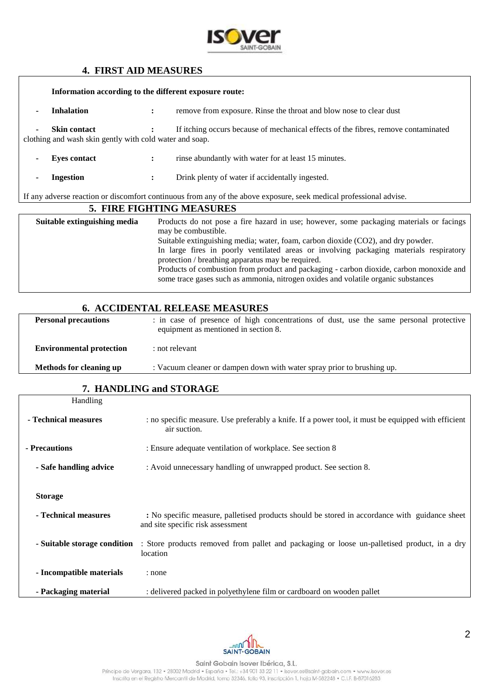

### **4. FIRST AID MEASURES**

|                                                                                                                    | Information according to the different exposure route:                         |                      |                                                                                                                                                                                                       |  |
|--------------------------------------------------------------------------------------------------------------------|--------------------------------------------------------------------------------|----------------------|-------------------------------------------------------------------------------------------------------------------------------------------------------------------------------------------------------|--|
| $\blacksquare$                                                                                                     | <b>Inhalation</b>                                                              | $\ddot{\phantom{a}}$ | remove from exposure. Rinse the throat and blow nose to clear dust                                                                                                                                    |  |
| $\blacksquare$                                                                                                     | <b>Skin contact</b><br>clothing and wash skin gently with cold water and soap. |                      | If itching occurs because of mechanical effects of the fibres, remove contaminated                                                                                                                    |  |
| $\blacksquare$                                                                                                     | <b>Eyes contact</b>                                                            | $\ddot{\phantom{a}}$ | rinse abundantly with water for at least 15 minutes.                                                                                                                                                  |  |
| ٠                                                                                                                  | <b>Ingestion</b>                                                               | $\ddot{\phantom{a}}$ | Drink plenty of water if accidentally ingested.                                                                                                                                                       |  |
| If any adverse reaction or discomfort continuous from any of the above exposure, seek medical professional advise. |                                                                                |                      |                                                                                                                                                                                                       |  |
| 5. FIRE FIGHTING MEASURES                                                                                          |                                                                                |                      |                                                                                                                                                                                                       |  |
|                                                                                                                    | Suitable extinguishing media                                                   |                      | Products do not pose a fire hazard in use; however, some packaging materials or facings<br>may be combustible.<br>Suitable extinguishing media: water, foam, carbon dioxide $(CO2)$ , and dry nowder. |  |

| Suitable extinguishing media; water, foam, carbon dioxide (CO2), and dry powder.        |
|-----------------------------------------------------------------------------------------|
| In large fires in poorly ventilated areas or involving packaging materials respiratory  |
| protection / breathing apparatus may be required.                                       |
| Products of combustion from product and packaging - carbon dioxide, carbon monoxide and |
| some trace gases such as ammonia, nitrogen oxides and volatile organic substances       |
|                                                                                         |

# **6. ACCIDENTAL RELEASE MEASURES**

| <b>Personal precautions</b>     | : in case of presence of high concentrations of dust, use the same personal protective<br>equipment as mentioned in section 8. |
|---------------------------------|--------------------------------------------------------------------------------------------------------------------------------|
| <b>Environmental protection</b> | : not relevant                                                                                                                 |
| <b>Methods for cleaning up</b>  | : Vacuum cleaner or dampen down with water spray prior to brushing up.                                                         |

# **7. HANDLING and STORAGE**

| Handling                     |                                                                                                                                    |
|------------------------------|------------------------------------------------------------------------------------------------------------------------------------|
| - Technical measures         | : no specific measure. Use preferably a knife. If a power tool, it must be equipped with efficient<br>air suction.                 |
| - Precautions                | : Ensure adequate ventilation of workplace. See section 8                                                                          |
| - Safe handling advice       | : Avoid unnecessary handling of unwrapped product. See section 8.                                                                  |
| <b>Storage</b>               |                                                                                                                                    |
| - Technical measures         | : No specific measure, palletised products should be stored in accordance with guidance sheet<br>and site specific risk assessment |
| - Suitable storage condition | : Store products removed from pallet and packaging or loose un-palletised product, in a dry<br>location                            |
| - Incompatible materials     | : none                                                                                                                             |
| - Packaging material         | : delivered packed in polyethylene film or cardboard on wooden pallet                                                              |



٦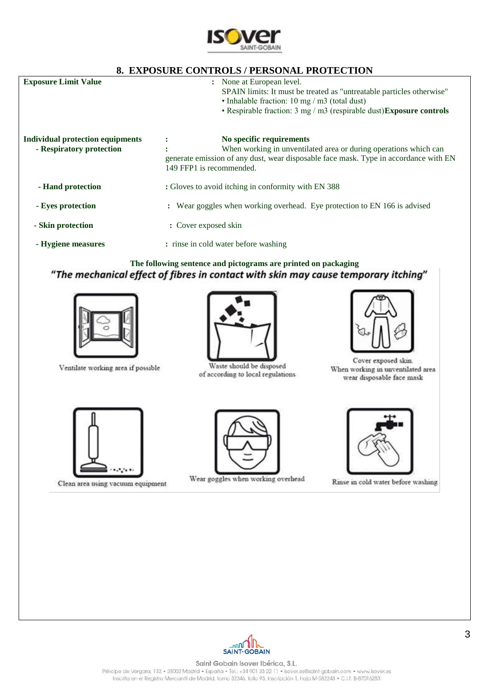

## **8. EXPOSURE CONTROLS / PERSONAL PROTECTION**

| <b>Exposure Limit Value</b>                                         | None at European level.<br>$\mathbf{L}$<br>SPAIN limits: It must be treated as "untreatable particles otherwise"<br>• Inhalable fraction: $10 \text{ mg} / \text{m}$ 3 (total dust)<br>• Respirable fraction: $3 \text{ mg}/\text{m}3$ (respirable dust) Exposure controls |
|---------------------------------------------------------------------|----------------------------------------------------------------------------------------------------------------------------------------------------------------------------------------------------------------------------------------------------------------------------|
| <b>Individual protection equipments</b><br>- Respiratory protection | No specific requirements<br>$\ddot{\cdot}$<br>When working in unventilated area or during operations which can<br>٠<br>generate emission of any dust, wear disposable face mask. Type in accordance with EN<br>149 FFP1 is recommended.                                    |
| - Hand protection                                                   | : Gloves to avoid itching in conformity with EN 388                                                                                                                                                                                                                        |
| - Eyes protection                                                   | : Wear goggles when working overhead. Eye protection to EN 166 is advised                                                                                                                                                                                                  |
| - Skin protection                                                   | : Cover exposed skin                                                                                                                                                                                                                                                       |
| - Hygiene measures                                                  | : rinse in cold water before washing                                                                                                                                                                                                                                       |

# The following sentence and pictograms are printed on packaging<br> **The mechanical effect of fibres in contact with skin may cause temporary itching"**



Ventilate working area if possible



Waste should be disposed of according to local regulations



Cover exposed skin. When working in unventilated area wear disposable face mask



Clean area using vacuum equipment



Wear goggles when working overhead



Rinse in cold water before washing



Saint Gobain Isover Ibérica, S.L. Príncipe de Vergara, 132 · 28002 Madrid · España · Tel.; +34 901 33 22 11 · Isover.es@saint-gobain.com · www.isover.es Inscrita en el Registro Mercantil de Madrid, tomo 32346, folio 93, inscripción 1, hoja M-582248 · C.I.F. 8-87016283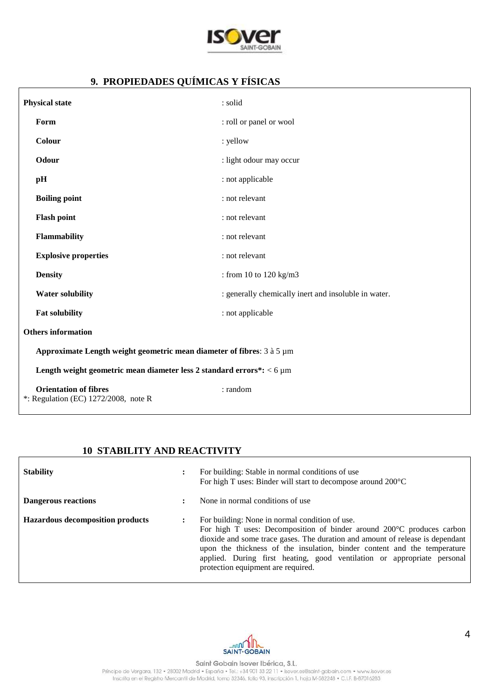

# **9. PROPIEDADES QUÍMICAS Y FÍSICAS**

| <b>Physical state</b>                                                   | : solid                                              |  |  |
|-------------------------------------------------------------------------|------------------------------------------------------|--|--|
| Form                                                                    | : roll or panel or wool                              |  |  |
| Colour                                                                  | : yellow                                             |  |  |
| Odour                                                                   | : light odour may occur                              |  |  |
| pH                                                                      | : not applicable                                     |  |  |
| <b>Boiling point</b>                                                    | : not relevant                                       |  |  |
| <b>Flash point</b>                                                      | : not relevant                                       |  |  |
| Flammability                                                            | : not relevant                                       |  |  |
| <b>Explosive properties</b>                                             | : not relevant                                       |  |  |
| <b>Density</b>                                                          | : from 10 to 120 kg/m3                               |  |  |
| <b>Water solubility</b>                                                 | : generally chemically inert and insoluble in water. |  |  |
| <b>Fat solubility</b>                                                   | : not applicable                                     |  |  |
| <b>Others</b> information                                               |                                                      |  |  |
| Approximate Length weight geometric mean diameter of fibres: 3 à 5 µm   |                                                      |  |  |
| Length weight geometric mean diameter less 2 standard errors*: < 6 µm   |                                                      |  |  |
| <b>Orientation of fibres</b><br>$*$ : Regulation (EC) 1272/2008, note R | : random                                             |  |  |

## **10 STABILITY AND REACTIVITY**

| <b>Stability</b>                        | For building: Stable in normal conditions of use<br>For high T uses: Binder will start to decompose around 200°C                                                                                                                                                                                                                                                                                      |
|-----------------------------------------|-------------------------------------------------------------------------------------------------------------------------------------------------------------------------------------------------------------------------------------------------------------------------------------------------------------------------------------------------------------------------------------------------------|
| <b>Dangerous reactions</b>              | None in normal conditions of use                                                                                                                                                                                                                                                                                                                                                                      |
| <b>Hazardous decomposition products</b> | For building: None in normal condition of use.<br>For high T uses: Decomposition of binder around 200°C produces carbon<br>dioxide and some trace gases. The duration and amount of release is dependant<br>upon the thickness of the insulation, binder content and the temperature<br>applied. During first heating, good ventilation or appropriate personal<br>protection equipment are required. |

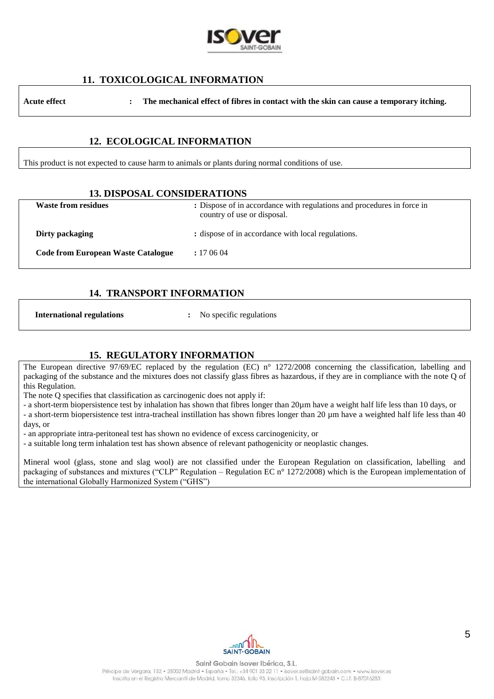

### **11. TOXICOLOGICAL INFORMATION**

**Acute effect : The mechanical effect of fibres in contact with the skin can cause a temporary itching.**

### **12. ECOLOGICAL INFORMATION**

This product is not expected to cause harm to animals or plants during normal conditions of use.

#### **13. DISPOSAL CONSIDERATIONS**

| <b>Waste from residues</b>                | : Dispose of in accordance with regulations and procedures in force in<br>country of use or disposal. |
|-------------------------------------------|-------------------------------------------------------------------------------------------------------|
| Dirty packaging                           | : dispose of in accordance with local regulations.                                                    |
| <b>Code from European Waste Catalogue</b> | : 170604                                                                                              |

### **14. TRANSPORT INFORMATION**

**International regulations** : No specific regulations

### **15. REGULATORY INFORMATION**

The European directive 97/69/EC replaced by the regulation (EC) n° 1272/2008 concerning the classification, labelling and packaging of the substance and the mixtures does not classify glass fibres as hazardous, if they are in compliance with the note Q of this Regulation.

The note Q specifies that classification as carcinogenic does not apply if:

- a short-term biopersistence test by inhalation has shown that fibres longer than 20µm have a weight half life less than 10 days, or - a short-term biopersistence test intra-tracheal instillation has shown fibres longer than 20 µm have a weighted half life less than 40 days, or

- an appropriate intra-peritoneal test has shown no evidence of excess carcinogenicity, or

- a suitable long term inhalation test has shown absence of relevant pathogenicity or neoplastic changes.

Mineral wool (glass, stone and slag wool) are not classified under the European Regulation on classification, labelling and packaging of substances and mixtures ("CLP" Regulation – Regulation EC n° 1272/2008) which is the European implementation of the international Globally Harmonized System ("GHS")